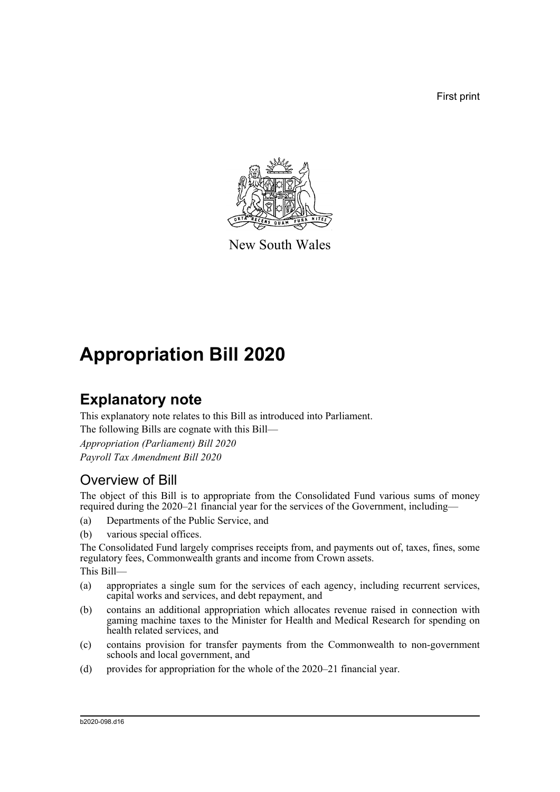First print



New South Wales

# **Appropriation Bill 2020**

# **Explanatory note**

This explanatory note relates to this Bill as introduced into Parliament.

The following Bills are cognate with this Bill—

*Appropriation (Parliament) Bill 2020 Payroll Tax Amendment Bill 2020*

## Overview of Bill

The object of this Bill is to appropriate from the Consolidated Fund various sums of money required during the 2020–21 financial year for the services of the Government, including—

- (a) Departments of the Public Service, and
- (b) various special offices.

The Consolidated Fund largely comprises receipts from, and payments out of, taxes, fines, some regulatory fees, Commonwealth grants and income from Crown assets.

This Bill—

- (a) appropriates a single sum for the services of each agency, including recurrent services, capital works and services, and debt repayment, and
- (b) contains an additional appropriation which allocates revenue raised in connection with gaming machine taxes to the Minister for Health and Medical Research for spending on health related services, and
- (c) contains provision for transfer payments from the Commonwealth to non-government schools and local government, and
- (d) provides for appropriation for the whole of the 2020–21 financial year.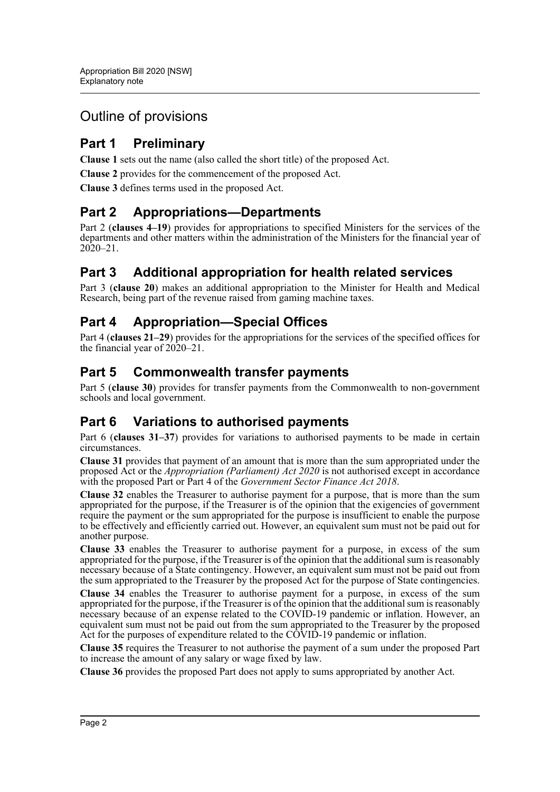## Outline of provisions

## **Part 1 Preliminary**

**Clause 1** sets out the name (also called the short title) of the proposed Act.

**Clause 2** provides for the commencement of the proposed Act.

**Clause 3** defines terms used in the proposed Act.

### **Part 2 Appropriations—Departments**

Part 2 (**clauses 4–19**) provides for appropriations to specified Ministers for the services of the departments and other matters within the administration of the Ministers for the financial year of  $20\overline{20} - 21$ .

## **Part 3 Additional appropriation for health related services**

Part 3 (**clause 20**) makes an additional appropriation to the Minister for Health and Medical Research, being part of the revenue raised from gaming machine taxes.

## **Part 4 Appropriation—Special Offices**

Part 4 (**clauses 21–29**) provides for the appropriations for the services of the specified offices for the financial year of 2020–21.

### **Part 5 Commonwealth transfer payments**

Part 5 (**clause 30**) provides for transfer payments from the Commonwealth to non-government schools and local government.

## **Part 6 Variations to authorised payments**

Part 6 (**clauses 31–37**) provides for variations to authorised payments to be made in certain circumstances.

**Clause 31** provides that payment of an amount that is more than the sum appropriated under the proposed Act or the *Appropriation (Parliament) Act 2020* is not authorised except in accordance with the proposed Part or Part 4 of the *Government Sector Finance Act 2018*.

**Clause 32** enables the Treasurer to authorise payment for a purpose, that is more than the sum appropriated for the purpose, if the Treasurer is of the opinion that the exigencies of government require the payment or the sum appropriated for the purpose is insufficient to enable the purpose to be effectively and efficiently carried out. However, an equivalent sum must not be paid out for another purpose.

**Clause 33** enables the Treasurer to authorise payment for a purpose, in excess of the sum appropriated for the purpose, if the Treasurer is of the opinion that the additional sum is reasonably necessary because of a State contingency. However, an equivalent sum must not be paid out from the sum appropriated to the Treasurer by the proposed Act for the purpose of State contingencies.

**Clause 34** enables the Treasurer to authorise payment for a purpose, in excess of the sum appropriated for the purpose, if the Treasurer is of the opinion that the additional sum is reasonably necessary because of an expense related to the COVID-19 pandemic or inflation. However, an equivalent sum must not be paid out from the sum appropriated to the Treasurer by the proposed Act for the purposes of expenditure related to the  $\overrightarrow{COVD}$ -19 pandemic or inflation.

**Clause 35** requires the Treasurer to not authorise the payment of a sum under the proposed Part to increase the amount of any salary or wage fixed by law.

**Clause 36** provides the proposed Part does not apply to sums appropriated by another Act.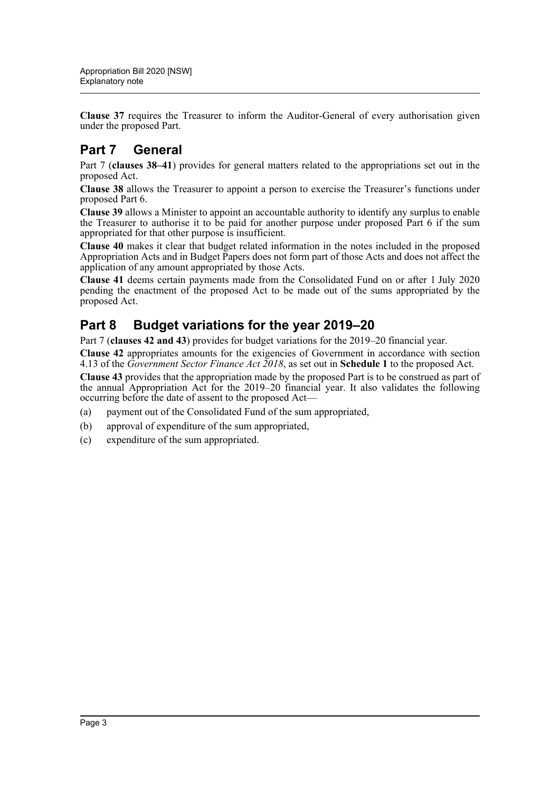**Clause 37** requires the Treasurer to inform the Auditor-General of every authorisation given under the proposed Part.

## **Part 7 General**

Part 7 (**clauses 38–41**) provides for general matters related to the appropriations set out in the proposed Act.

**Clause 38** allows the Treasurer to appoint a person to exercise the Treasurer's functions under proposed Part 6.

**Clause 39** allows a Minister to appoint an accountable authority to identify any surplus to enable the Treasurer to authorise it to be paid for another purpose under proposed Part 6 if the sum appropriated for that other purpose is insufficient.

**Clause 40** makes it clear that budget related information in the notes included in the proposed Appropriation Acts and in Budget Papers does not form part of those Acts and does not affect the application of any amount appropriated by those Acts.

**Clause 41** deems certain payments made from the Consolidated Fund on or after 1 July 2020 pending the enactment of the proposed Act to be made out of the sums appropriated by the proposed Act.

## **Part 8 Budget variations for the year 2019–20**

Part 7 (**clauses 42 and 43**) provides for budget variations for the 2019–20 financial year.

**Clause 42** appropriates amounts for the exigencies of Government in accordance with section 4.13 of the *Government Sector Finance Act 2018*, as set out in **Schedule 1** to the proposed Act.

**Clause 43** provides that the appropriation made by the proposed Part is to be construed as part of the annual Appropriation Act for the 2019–20 financial year. It also validates the following occurring before the date of assent to the proposed Act—

- (a) payment out of the Consolidated Fund of the sum appropriated,
- (b) approval of expenditure of the sum appropriated,
- (c) expenditure of the sum appropriated.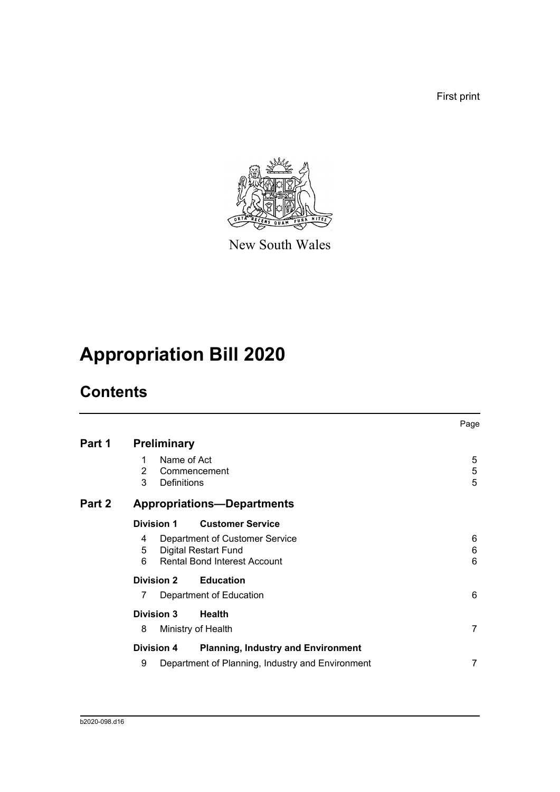First print



New South Wales

# **Appropriation Bill 2020**

# **Contents**

|        |                                                                                                                         | Page        |
|--------|-------------------------------------------------------------------------------------------------------------------------|-------------|
| Part 1 | <b>Preliminary</b>                                                                                                      |             |
|        | Name of Act<br>1<br>$\overline{2}$<br>Commencement<br>3<br>Definitions                                                  | 5<br>5<br>5 |
| Part 2 | <b>Appropriations-Departments</b>                                                                                       |             |
|        | <b>Customer Service</b><br>Division 1                                                                                   |             |
|        | Department of Customer Service<br>4<br><b>Digital Restart Fund</b><br>5<br><b>Rental Bond Interest Account</b><br>6     | 6<br>6<br>6 |
|        | <b>Education</b><br><b>Division 2</b>                                                                                   |             |
|        | Department of Education<br>7                                                                                            | 6           |
|        | <b>Division 3</b><br><b>Health</b><br>8<br>Ministry of Health                                                           | 7           |
|        | <b>Division 4</b><br><b>Planning, Industry and Environment</b><br>9<br>Department of Planning, Industry and Environment | 7           |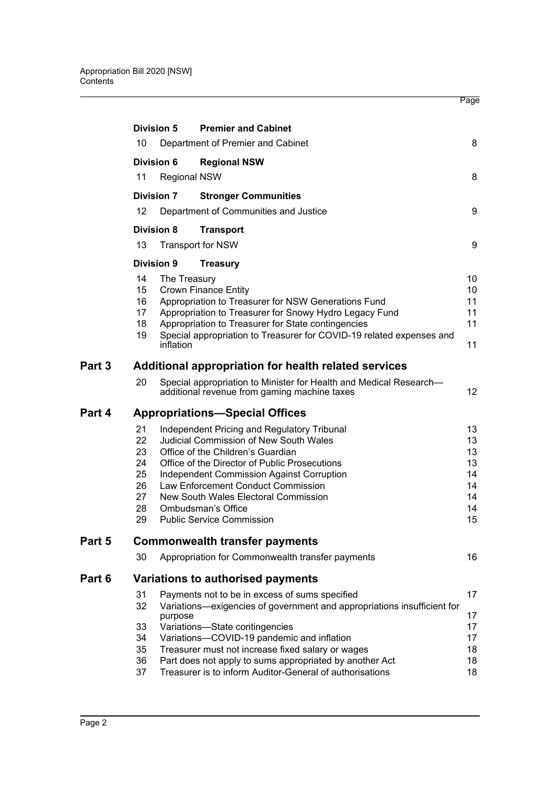|        |                   |              |                                                                                                                    | Page            |
|--------|-------------------|--------------|--------------------------------------------------------------------------------------------------------------------|-----------------|
|        |                   |              |                                                                                                                    |                 |
|        | <b>Division 5</b> |              | <b>Premier and Cabinet</b>                                                                                         |                 |
|        | 10                |              | Department of Premier and Cabinet                                                                                  | 8               |
|        | Division 6        |              | <b>Regional NSW</b>                                                                                                |                 |
|        | 11                |              | <b>Regional NSW</b>                                                                                                | 8               |
|        | <b>Division 7</b> |              | <b>Stronger Communities</b>                                                                                        |                 |
|        | 12                |              | Department of Communities and Justice                                                                              | 9               |
|        | Division 8        |              | <b>Transport</b>                                                                                                   |                 |
|        | 13                |              | <b>Transport for NSW</b>                                                                                           | 9               |
|        | <b>Division 9</b> |              | <b>Treasury</b>                                                                                                    |                 |
|        | 14                | The Treasury |                                                                                                                    | 10              |
|        | 15                |              | <b>Crown Finance Entity</b>                                                                                        | 10              |
|        | 16                |              | Appropriation to Treasurer for NSW Generations Fund                                                                | 11              |
|        | 17                |              | Appropriation to Treasurer for Snowy Hydro Legacy Fund                                                             | 11              |
|        | 18                |              | Appropriation to Treasurer for State contingencies                                                                 | 11              |
|        | 19                | inflation    | Special appropriation to Treasurer for COVID-19 related expenses and                                               | 11              |
| Part 3 |                   |              | Additional appropriation for health related services                                                               |                 |
|        | 20                |              | Special appropriation to Minister for Health and Medical Research-<br>additional revenue from gaming machine taxes | 12 <sup>°</sup> |
| Part 4 |                   |              | <b>Appropriations-Special Offices</b>                                                                              |                 |
|        | 21                |              | Independent Pricing and Regulatory Tribunal                                                                        | 13              |
|        | 22                |              | <b>Judicial Commission of New South Wales</b>                                                                      | 13              |
|        | 23                |              | Office of the Children's Guardian                                                                                  | 13              |
|        | 24                |              | Office of the Director of Public Prosecutions                                                                      | 13              |
|        | 25                |              | <b>Independent Commission Against Corruption</b>                                                                   | 14              |
|        | 26                |              | Law Enforcement Conduct Commission                                                                                 | 14              |
|        | 27                |              | New South Wales Electoral Commission                                                                               | 14              |
|        | 28                |              | Ombudsman's Office                                                                                                 | 14              |
|        | 29                |              | <b>Public Service Commission</b>                                                                                   | 15              |
| Part 5 |                   |              | <b>Commonwealth transfer payments</b>                                                                              |                 |
|        | 30                |              | Appropriation for Commonwealth transfer payments                                                                   | 16              |
| Part 6 |                   |              | Variations to authorised payments                                                                                  |                 |
|        | 31                |              | Payments not to be in excess of sums specified                                                                     | 17              |
|        | 32                |              | Variations-exigencies of government and appropriations insufficient for                                            |                 |
|        |                   | purpose      |                                                                                                                    | 17              |
|        | 33                |              | Variations-State contingencies                                                                                     | 17              |
|        | 34                |              | Variations-COVID-19 pandemic and inflation                                                                         | 17              |
|        | 35                |              | Treasurer must not increase fixed salary or wages                                                                  | 18              |
|        | 36                |              | Part does not apply to sums appropriated by another Act                                                            | 18              |
|        | 37                |              | Treasurer is to inform Auditor-General of authorisations                                                           | 18              |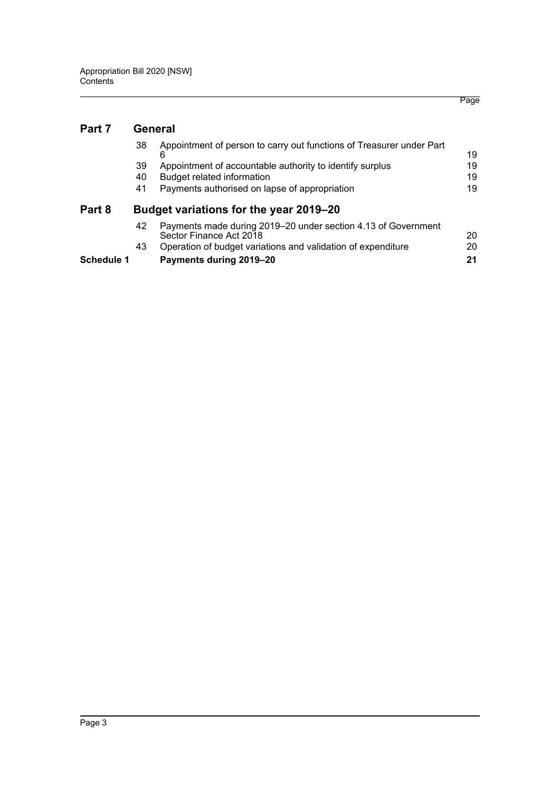#### **[Part 7 General](#page-21-0)**

**Part 8** 

| 38 | Appointment of person to carry out functions of Treasurer under Part                     | 19 |
|----|------------------------------------------------------------------------------------------|----|
| 39 | Appointment of accountable authority to identify surplus                                 | 19 |
| 40 | Budget related information                                                               | 19 |
| 41 | Payments authorised on lapse of appropriation                                            | 19 |
|    | Budget variations for the year 2019–20                                                   |    |
| 42 | Payments made during 2019–20 under section 4.13 of Government<br>Sector Einance Act 2018 | חר |

| Schedule 1 | Payments during 2019–20                                      | 21 |
|------------|--------------------------------------------------------------|----|
|            | Operation of budget variations and validation of expenditure | 20 |
|            | Sector Finance Act 2018                                      | 20 |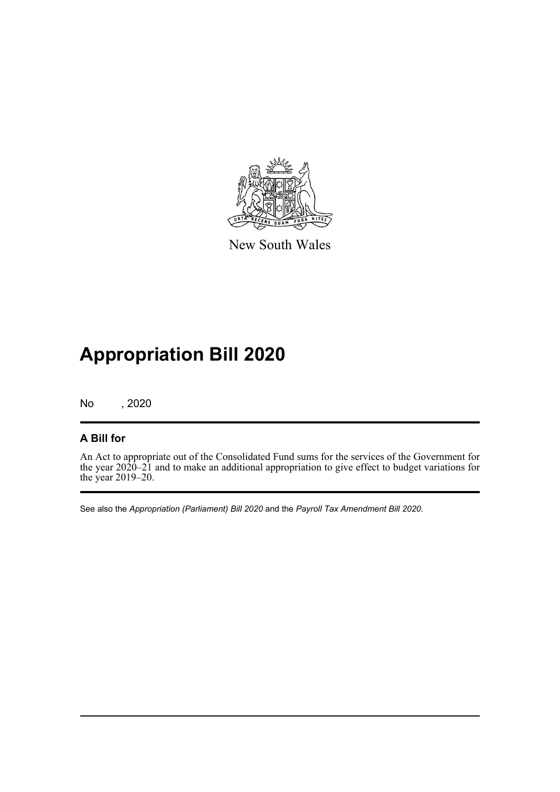

New South Wales

# **Appropriation Bill 2020**

No , 2020

#### **A Bill for**

An Act to appropriate out of the Consolidated Fund sums for the services of the Government for the year 2020–21 and to make an additional appropriation to give effect to budget variations for the year 2019–20.

See also the *Appropriation (Parliament) Bill 2020* and the *Payroll Tax Amendment Bill 2020*.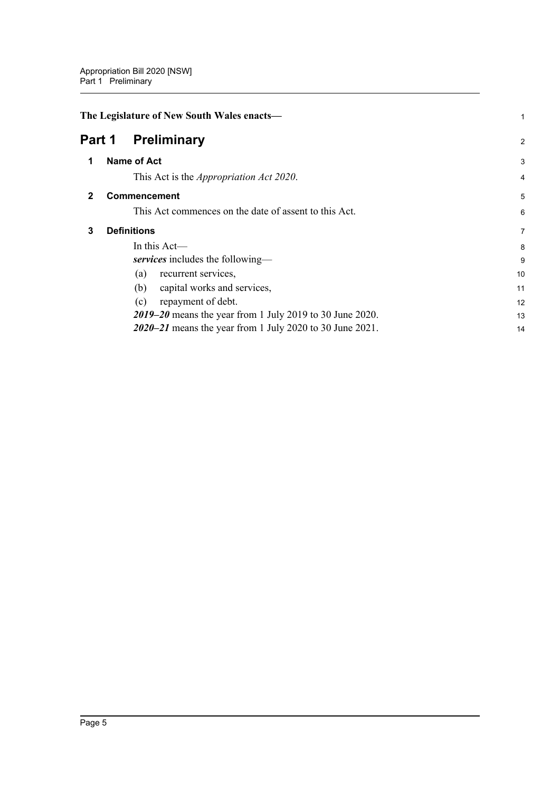<span id="page-7-3"></span><span id="page-7-2"></span><span id="page-7-1"></span><span id="page-7-0"></span>

|              | The Legislature of New South Wales enacts-               | 1              |
|--------------|----------------------------------------------------------|----------------|
|              | Part 1<br><b>Preliminary</b>                             | $\overline{c}$ |
| 1            | <b>Name of Act</b>                                       | 3              |
|              | This Act is the <i>Appropriation Act 2020</i> .          | 4              |
| $\mathbf{2}$ | <b>Commencement</b>                                      | 5              |
|              | This Act commences on the date of assent to this Act.    | 6              |
| 3            | <b>Definitions</b>                                       | $\overline{7}$ |
|              | In this $Act$ —                                          | 8              |
|              | services includes the following—                         | 9              |
|              | recurrent services,<br>(a)                               | 10             |
|              | capital works and services,<br>(b)                       | 11             |
|              | repayment of debt.<br>(c)                                | 12             |
|              | 2019–20 means the year from 1 July 2019 to 30 June 2020. | 13             |
|              | 2020–21 means the year from 1 July 2020 to 30 June 2021. | 14             |
|              |                                                          |                |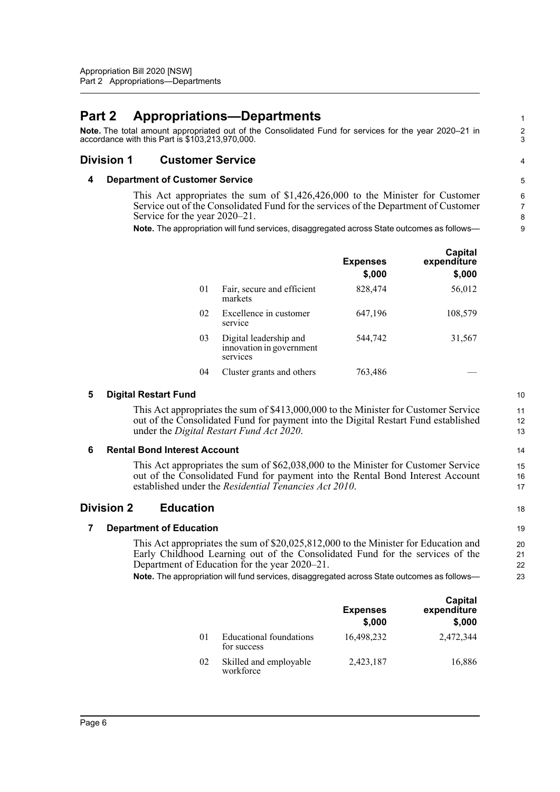### <span id="page-8-0"></span>**Part 2 Appropriations—Departments**

**Note.** The total amount appropriated out of the Consolidated Fund for services for the year 2020–21 in accordance with this Part is \$103,213,970,000.

#### <span id="page-8-2"></span><span id="page-8-1"></span>**Division 1 Customer Service**

#### **4 Department of Customer Service**

This Act appropriates the sum of \$1,426,426,000 to the Minister for Customer Service out of the Consolidated Fund for the services of the Department of Customer Service for the year 2020–21.

**Note.** The appropriation will fund services, disaggregated across State outcomes as follows—

|    |                                                                | <b>Expenses</b><br>\$,000 | Capital<br>expenditure<br>\$,000 |
|----|----------------------------------------------------------------|---------------------------|----------------------------------|
| 01 | Fair, secure and efficient<br>markets                          | 828,474                   | 56,012                           |
| 02 | Excellence in customer<br>service                              | 647,196                   | 108,579                          |
| 03 | Digital leadership and<br>innovation in government<br>services | 544,742                   | 31,567                           |
| 04 | Cluster grants and others                                      | 763,486                   |                                  |

#### <span id="page-8-3"></span>**5 Digital Restart Fund**

This Act appropriates the sum of \$413,000,000 to the Minister for Customer Service out of the Consolidated Fund for payment into the Digital Restart Fund established under the *Digital Restart Fund Act 2020*.

#### <span id="page-8-4"></span>**6 Rental Bond Interest Account**

This Act appropriates the sum of \$62,038,000 to the Minister for Customer Service out of the Consolidated Fund for payment into the Rental Bond Interest Account established under the *Residential Tenancies Act 2010*.

#### <span id="page-8-6"></span><span id="page-8-5"></span>**Division 2 Education**

#### **7 Department of Education**

This Act appropriates the sum of \$20,025,812,000 to the Minister for Education and Early Childhood Learning out of the Consolidated Fund for the services of the Department of Education for the year 2020–21.

**Note.** The appropriation will fund services, disaggregated across State outcomes as follows—

|    |                                        | <b>Expenses</b><br>\$,000 | Capital<br>expenditure<br>\$,000 |
|----|----------------------------------------|---------------------------|----------------------------------|
| 01 | Educational foundations<br>for success | 16.498.232                | 2,472,344                        |
| 02 | Skilled and employable<br>workforce    | 2,423,187                 | 16,886                           |

10 11

1  $\overline{2}$ 3

4

13 14

15 16 17

18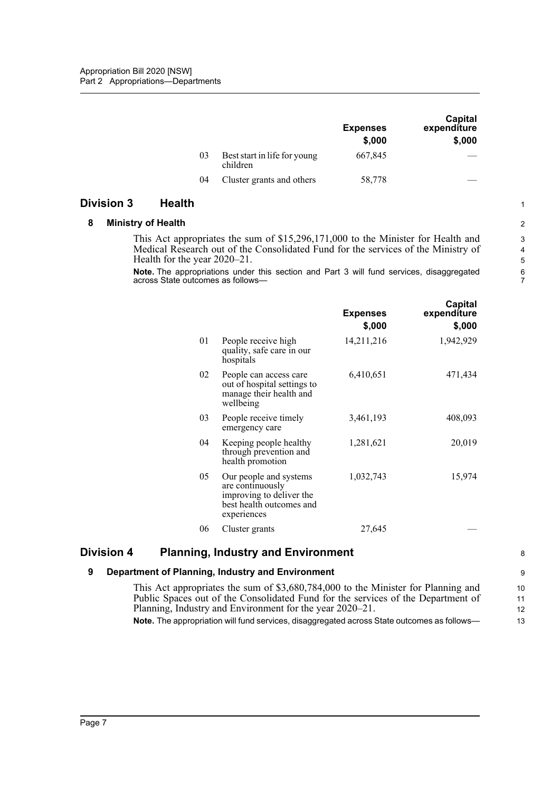|    |                                          | <b>Expenses</b><br>\$,000 | Capital<br>expenditure<br>\$,000 |
|----|------------------------------------------|---------------------------|----------------------------------|
| 03 | Best start in life for young<br>children | 667,845                   |                                  |
| 04 | Cluster grants and others                | 58,778                    |                                  |

#### <span id="page-9-1"></span><span id="page-9-0"></span>**Division 3 Health**

#### **8 Ministry of Health**

This Act appropriates the sum of \$15,296,171,000 to the Minister for Health and Medical Research out of the Consolidated Fund for the services of the Ministry of Health for the year 2020–21.

**Note.** The appropriations under this section and Part 3 will fund services, disaggregated across State outcomes as follows-

|    |                                                                                                                   | <b>Expenses</b><br>\$,000 | Capital<br>expenditure<br>\$,000 |
|----|-------------------------------------------------------------------------------------------------------------------|---------------------------|----------------------------------|
| 01 | People receive high<br>quality, safe care in our<br>hospitals                                                     | 14,211,216                | 1,942,929                        |
| 02 | People can access care<br>out of hospital settings to<br>manage their health and<br>wellbeing                     | 6,410,651                 | 471,434                          |
| 03 | People receive timely<br>emergency care                                                                           | 3,461,193                 | 408,093                          |
| 04 | Keeping people healthy<br>through prevention and<br>health promotion                                              | 1,281,621                 | 20,019                           |
| 05 | Our people and systems<br>are continuously<br>improving to deliver the<br>best health outcomes and<br>experiences | 1,032,743                 | 15,974                           |
| 06 | Cluster grants                                                                                                    | 27,645                    |                                  |

#### <span id="page-9-3"></span><span id="page-9-2"></span>**Division 4 Planning, Industry and Environment**

#### **9 Department of Planning, Industry and Environment**

This Act appropriates the sum of \$3,680,784,000 to the Minister for Planning and Public Spaces out of the Consolidated Fund for the services of the Department of Planning, Industry and Environment for the year 2020–21. **Note.** The appropriation will fund services, disaggregated across State outcomes as follows— 10 11 12 13

7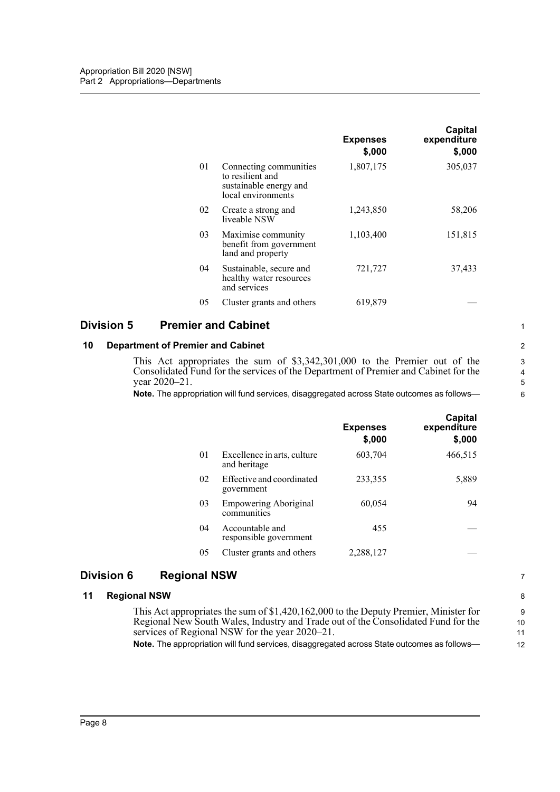|    |                                                                                            | <b>Expenses</b><br>\$,000 | Capital<br>expenditure<br>\$,000 |
|----|--------------------------------------------------------------------------------------------|---------------------------|----------------------------------|
| 01 | Connecting communities<br>to resilient and<br>sustainable energy and<br>local environments | 1,807,175                 | 305,037                          |
| 02 | Create a strong and<br>liveable NSW                                                        | 1,243,850                 | 58,206                           |
| 03 | Maximise community<br>benefit from government<br>land and property                         | 1,103,400                 | 151,815                          |
| 04 | Sustainable, secure and<br>healthy water resources<br>and services                         | 721,727                   | 37,433                           |
| 05 | Cluster grants and others                                                                  | 619,879                   |                                  |

#### <span id="page-10-0"></span>**Division 5 Premier and Cabinet**

#### <span id="page-10-1"></span>**10 Department of Premier and Cabinet**

This Act appropriates the sum of \$3,342,301,000 to the Premier out of the Consolidated Fund for the services of the Department of Premier and Cabinet for the year 2020–21.

**Note.** The appropriation will fund services, disaggregated across State outcomes as follows—

|    |                                             | <b>Expenses</b><br>\$,000 | Capital<br>expenditure<br>\$,000 |
|----|---------------------------------------------|---------------------------|----------------------------------|
| 01 | Excellence in arts, culture<br>and heritage | 603,704                   | 466,515                          |
| 02 | Effective and coordinated<br>government     | 233,355                   | 5,889                            |
| 03 | <b>Empowering Aboriginal</b><br>communities | 60,054                    | 94                               |
| 04 | Accountable and<br>responsible government   | 455                       |                                  |
| 05 | Cluster grants and others                   | 2,288,127                 |                                  |

#### <span id="page-10-2"></span>**Division 6 Regional NSW**

#### <span id="page-10-3"></span>**11 Regional NSW**

This Act appropriates the sum of \$1,420,162,000 to the Deputy Premier, Minister for Regional New South Wales, Industry and Trade out of the Consolidated Fund for the services of Regional NSW for the year 2020–21.

**Note.** The appropriation will fund services, disaggregated across State outcomes as follows—

6

1

8 9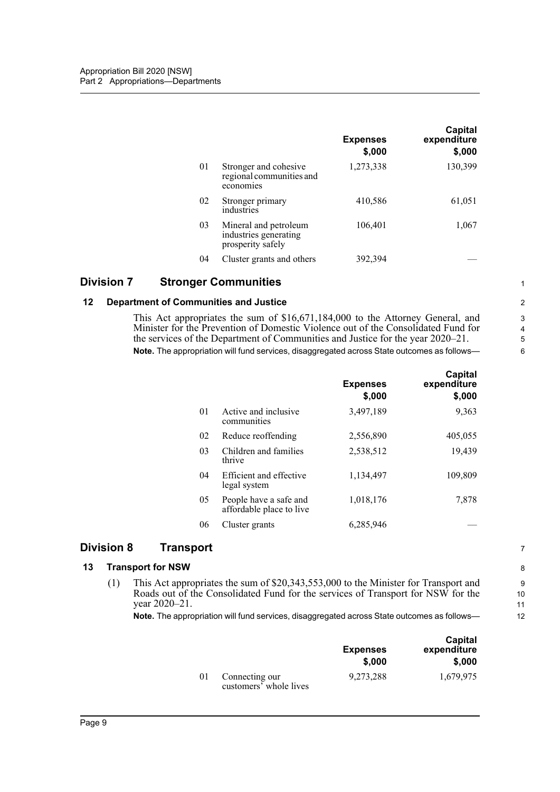|    |                                                                     | <b>Expenses</b><br>\$,000 | Capital<br>expenditure<br>\$,000 |
|----|---------------------------------------------------------------------|---------------------------|----------------------------------|
| 01 | Stronger and cohesive<br>regional communities and<br>economies      | 1,273,338                 | 130,399                          |
| 02 | Stronger primary<br>industries                                      | 410,586                   | 61,051                           |
| 03 | Mineral and petroleum<br>industries generating<br>prosperity safely | 106,401                   | 1,067                            |
| 04 | Cluster grants and others                                           | 392.394                   |                                  |

#### <span id="page-11-0"></span>**Division 7 Stronger Communities**

#### <span id="page-11-1"></span>**12 Department of Communities and Justice**

This Act appropriates the sum of \$16,671,184,000 to the Attorney General, and Minister for the Prevention of Domestic Violence out of the Consolidated Fund for the services of the Department of Communities and Justice for the year 2020–21. **Note.** The appropriation will fund services, disaggregated across State outcomes as follows—

|    |                                                    | <b>Expenses</b><br>\$,000 | Capital<br>expenditure<br>\$,000 |
|----|----------------------------------------------------|---------------------------|----------------------------------|
| 01 | Active and inclusive<br>communities                | 3,497,189                 | 9,363                            |
| 02 | Reduce reoffending                                 | 2,556,890                 | 405,055                          |
| 03 | Children and families<br>thrive                    | 2,538,512                 | 19,439                           |
| 04 | Efficient and effective<br>legal system            | 1,134,497                 | 109,809                          |
| 05 | People have a safe and<br>affordable place to live | 1,018,176                 | 7,878                            |
| 06 | Cluster grants                                     | 6,285,946                 |                                  |

#### <span id="page-11-2"></span>**Division 8 Transport**

#### <span id="page-11-3"></span>**13 Transport for NSW**

(1) This Act appropriates the sum of \$20,343,553,000 to the Minister for Transport and Roads out of the Consolidated Fund for the services of Transport for NSW for the year 2020–21.

**Note.** The appropriation will fund services, disaggregated across State outcomes as follows—

|    |                                          | <b>Expenses</b><br>\$,000 | Capital<br>expenditure<br>\$,000 |
|----|------------------------------------------|---------------------------|----------------------------------|
| 01 | Connecting our<br>customers' whole lives | 9,273,288                 | 1.679.975                        |

2 3 4

1

7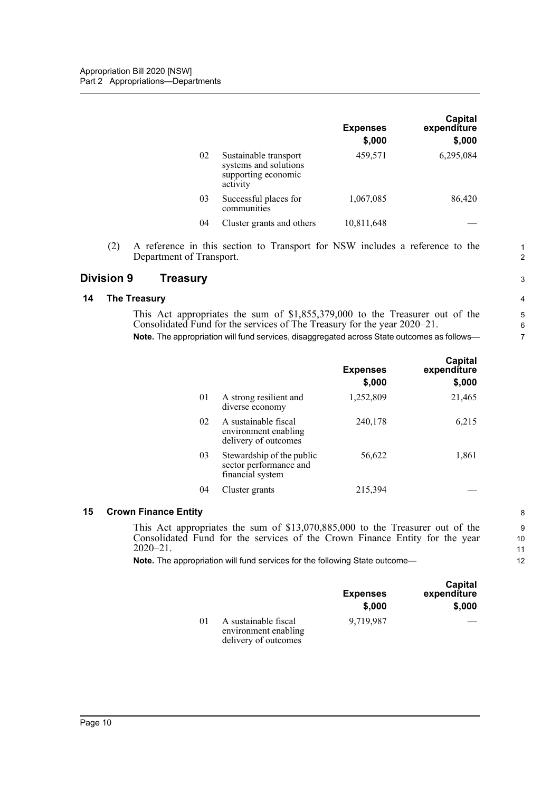|    |                                                                                   | <b>Expenses</b><br>\$,000 | Capital<br>expenditure<br>\$,000 |
|----|-----------------------------------------------------------------------------------|---------------------------|----------------------------------|
| 02 | Sustainable transport<br>systems and solutions<br>supporting economic<br>activity | 459,571                   | 6,295,084                        |
| 03 | Successful places for<br>communities                                              | 1,067,085                 | 86,420                           |
| 04 | Cluster grants and others                                                         | 10,811,648                |                                  |

(2) A reference in this section to Transport for NSW includes a reference to the Department of Transport.

#### <span id="page-12-0"></span>**Division 9 Treasury**

#### <span id="page-12-1"></span>**14 The Treasury**

This Act appropriates the sum of \$1,855,379,000 to the Treasurer out of the Consolidated Fund for the services of The Treasury for the year 2020–21. **Note.** The appropriation will fund services, disaggregated across State outcomes as follows—

|    |                                                                         | <b>Expenses</b><br>\$,000 | <b>Capital</b><br>expenditure<br>\$,000 |
|----|-------------------------------------------------------------------------|---------------------------|-----------------------------------------|
| 01 | A strong resilient and<br>diverse economy                               | 1,252,809                 | 21,465                                  |
| 02 | A sustainable fiscal<br>environment enabling<br>delivery of outcomes    | 240,178                   | 6,215                                   |
| 03 | Stewardship of the public<br>sector performance and<br>financial system | 56,622                    | 1,861                                   |
| 04 | Cluster grants                                                          | 215,394                   |                                         |

#### <span id="page-12-2"></span>**15 Crown Finance Entity**

This Act appropriates the sum of \$13,070,885,000 to the Treasurer out of the Consolidated Fund for the services of the Crown Finance Entity for the year 2020–21.

**Note.** The appropriation will fund services for the following State outcome—

|         |                                                                      | <b>Expenses</b><br>\$,000 | Capital<br>expenditure<br>\$,000 |
|---------|----------------------------------------------------------------------|---------------------------|----------------------------------|
| $_{01}$ | A sustainable fiscal<br>environment enabling<br>delivery of outcomes | 9.719.987                 |                                  |

1 2

3



10

11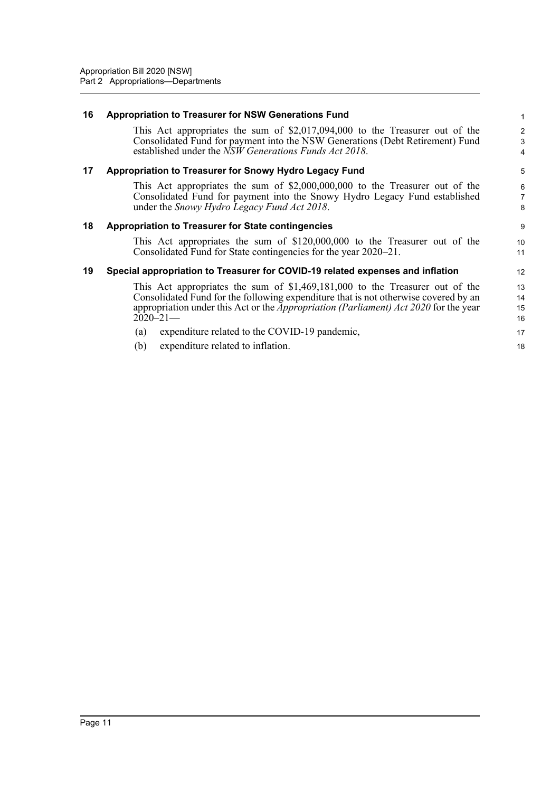<span id="page-13-3"></span><span id="page-13-2"></span><span id="page-13-1"></span><span id="page-13-0"></span>

| 16 | <b>Appropriation to Treasurer for NSW Generations Fund</b>                                                                                                                                                                                                                                                                                                                             | $\mathbf{1}$                     |
|----|----------------------------------------------------------------------------------------------------------------------------------------------------------------------------------------------------------------------------------------------------------------------------------------------------------------------------------------------------------------------------------------|----------------------------------|
|    | This Act appropriates the sum of $$2,017,094,000$ to the Treasurer out of the<br>Consolidated Fund for payment into the NSW Generations (Debt Retirement) Fund<br>established under the NSW Generations Funds Act 2018.                                                                                                                                                                | 2<br>3<br>$\overline{4}$         |
| 17 | Appropriation to Treasurer for Snowy Hydro Legacy Fund                                                                                                                                                                                                                                                                                                                                 | 5                                |
|    | This Act appropriates the sum of $\text{\$2,000,000,000}$ to the Treasurer out of the<br>Consolidated Fund for payment into the Snowy Hydro Legacy Fund established<br>under the Snowy Hydro Legacy Fund Act 2018.                                                                                                                                                                     | 6<br>$\overline{7}$<br>8         |
| 18 | <b>Appropriation to Treasurer for State contingencies</b>                                                                                                                                                                                                                                                                                                                              | 9                                |
|    | This Act appropriates the sum of \$120,000,000 to the Treasurer out of the<br>Consolidated Fund for State contingencies for the year 2020–21.                                                                                                                                                                                                                                          | 10<br>11                         |
| 19 | Special appropriation to Treasurer for COVID-19 related expenses and inflation                                                                                                                                                                                                                                                                                                         | 12                               |
|    | This Act appropriates the sum of $$1,469,181,000$ to the Treasurer out of the<br>Consolidated Fund for the following expenditure that is not otherwise covered by an<br>appropriation under this Act or the <i>Appropriation (Parliament) Act 2020</i> for the year<br>$2020 - 21$<br>expenditure related to the COVID-19 pandemic,<br>(a)<br>expenditure related to inflation.<br>(b) | 13<br>14<br>15<br>16<br>17<br>18 |
|    |                                                                                                                                                                                                                                                                                                                                                                                        |                                  |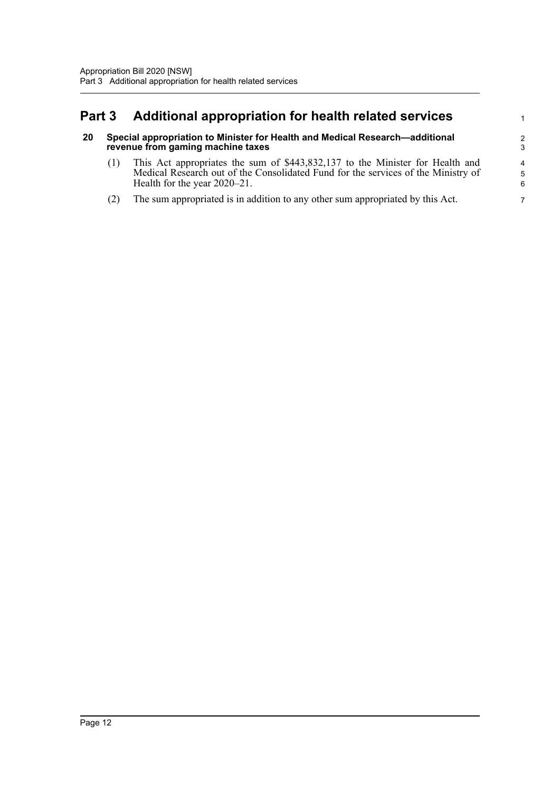## <span id="page-14-0"></span>**Part 3 Additional appropriation for health related services**

#### <span id="page-14-1"></span>**20 Special appropriation to Minister for Health and Medical Research—additional revenue from gaming machine taxes**

(1) This Act appropriates the sum of \$443,832,137 to the Minister for Health and Medical Research out of the Consolidated Fund for the services of the Ministry of Health for the year 2020–21.

1

(2) The sum appropriated is in addition to any other sum appropriated by this Act.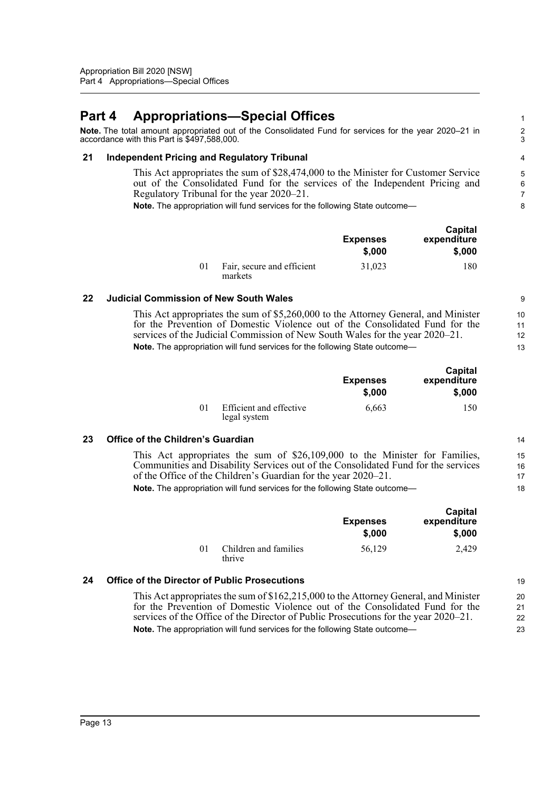## <span id="page-15-0"></span>**Part 4 Appropriations—Special Offices**

**Note.** The total amount appropriated out of the Consolidated Fund for services for the year 2020–21 in accordance with this Part is \$497,588,000.

#### <span id="page-15-1"></span>**21 Independent Pricing and Regulatory Tribunal**

This Act appropriates the sum of \$28,474,000 to the Minister for Customer Service out of the Consolidated Fund for the services of the Independent Pricing and Regulatory Tribunal for the year 2020–21.

**Note.** The appropriation will fund services for the following State outcome—

|                |                                       | <b>Expenses</b><br>\$,000 | Capital<br>expenditure<br>\$,000 |
|----------------|---------------------------------------|---------------------------|----------------------------------|
| 0 <sup>1</sup> | Fair, secure and efficient<br>markets | 31,023                    | 180                              |

#### <span id="page-15-2"></span>**22 Judicial Commission of New South Wales**

This Act appropriates the sum of \$5,260,000 to the Attorney General, and Minister for the Prevention of Domestic Violence out of the Consolidated Fund for the services of the Judicial Commission of New South Wales for the year 2020–21. **Note.** The appropriation will fund services for the following State outcome-

|          |                                         | <b>Expenses</b><br>\$,000 | Capital<br>expenditure<br>\$,000 |
|----------|-----------------------------------------|---------------------------|----------------------------------|
| $\Omega$ | Efficient and effective<br>legal system | 6.663                     | 150                              |

#### <span id="page-15-3"></span>**23 Office of the Children's Guardian**

This Act appropriates the sum of \$26,109,000 to the Minister for Families, Communities and Disability Services out of the Consolidated Fund for the services of the Office of the Children's Guardian for the year 2020–21.

**Note.** The appropriation will fund services for the following State outcome—

|    |                                 | <b>Expenses</b><br>\$,000 | Capital<br>expenditure<br>\$,000 |
|----|---------------------------------|---------------------------|----------------------------------|
| 01 | Children and families<br>thrive | 56,129                    | 2.429                            |

#### <span id="page-15-4"></span>**24 Office of the Director of Public Prosecutions**

This Act appropriates the sum of \$162,215,000 to the Attorney General, and Minister for the Prevention of Domestic Violence out of the Consolidated Fund for the services of the Office of the Director of Public Prosecutions for the year 2020–21. **Note.** The appropriation will fund services for the following State outcome— 20 21 22 23

19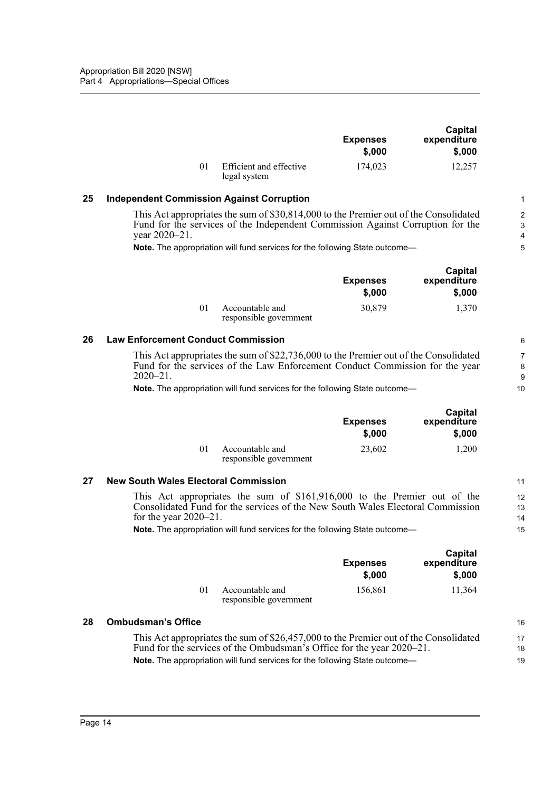|    |                                         | <b>Expenses</b><br>\$.000 | Capital<br>expenditure<br>\$.000 |
|----|-----------------------------------------|---------------------------|----------------------------------|
| 01 | Efficient and effective<br>legal system | 174,023                   | 12.257                           |

16

#### <span id="page-16-0"></span>**25 Independent Commission Against Corruption**

This Act appropriates the sum of \$30,814,000 to the Premier out of the Consolidated Fund for the services of the Independent Commission Against Corruption for the year 2020–21.

**Note.** The appropriation will fund services for the following State outcome—

|                                           | <b>Expenses</b><br>\$,000 | Capital<br>expenditure<br>\$,000 |
|-------------------------------------------|---------------------------|----------------------------------|
| Accountable and<br>responsible government | 30,879                    | 1.370                            |

#### <span id="page-16-1"></span>**26 Law Enforcement Conduct Commission**

This Act appropriates the sum of \$22,736,000 to the Premier out of the Consolidated Fund for the services of the Law Enforcement Conduct Commission for the year 2020–21.

**Note.** The appropriation will fund services for the following State outcome—

|          |                                           | <b>Expenses</b><br>\$.000 | Capital<br>expenditure<br>\$,000 |
|----------|-------------------------------------------|---------------------------|----------------------------------|
| $\Omega$ | Accountable and<br>responsible government | 23,602                    | 1,200                            |

#### <span id="page-16-2"></span>**27 New South Wales Electoral Commission**

This Act appropriates the sum of \$161,916,000 to the Premier out of the Consolidated Fund for the services of the New South Wales Electoral Commission for the year 2020–21.

**Note.** The appropriation will fund services for the following State outcome—

|    |                                           | <b>Expenses</b><br>\$,000 | Capital<br>expenditure<br>\$,000 |
|----|-------------------------------------------|---------------------------|----------------------------------|
| 01 | Accountable and<br>responsible government | 156,861                   | 11,364                           |

#### <span id="page-16-3"></span>**28 Ombudsman's Office**

This Act appropriates the sum of \$26,457,000 to the Premier out of the Consolidated Fund for the services of the Ombudsman's Office for the year 2020–21. **Note.** The appropriation will fund services for the following State outcome— 17 18 19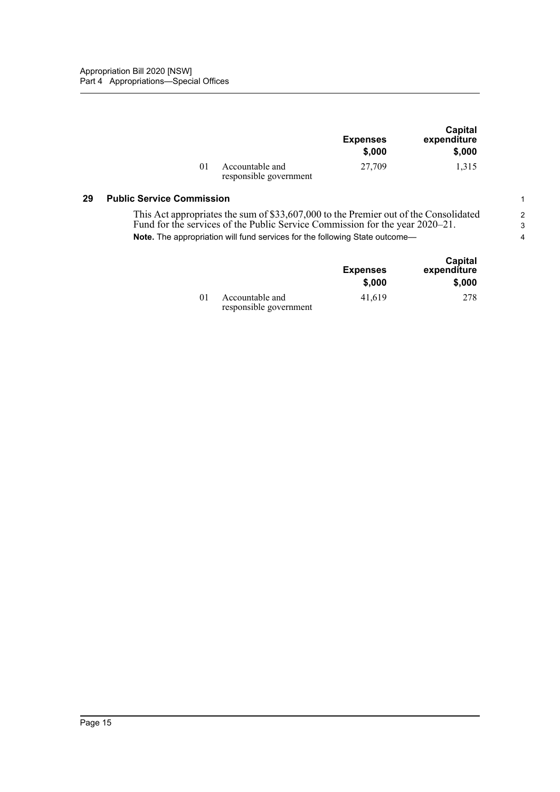|                                           | <b>Expenses</b><br>\$,000 | Capital<br>expenditure<br>\$,000 |
|-------------------------------------------|---------------------------|----------------------------------|
| Accountable and<br>responsible government | 27,709                    | 1.315                            |

#### <span id="page-17-0"></span>**29 Public Service Commission**

This Act appropriates the sum of \$33,607,000 to the Premier out of the Consolidated Fund for the services of the Public Service Commission for the year 2020–21. **Note.** The appropriation will fund services for the following State outcome—

|         |                                           | <b>Expenses</b><br>\$,000 | Capital<br>expenditure<br>\$,000 |
|---------|-------------------------------------------|---------------------------|----------------------------------|
| $_{01}$ | Accountable and<br>responsible government | 41.619                    | 278                              |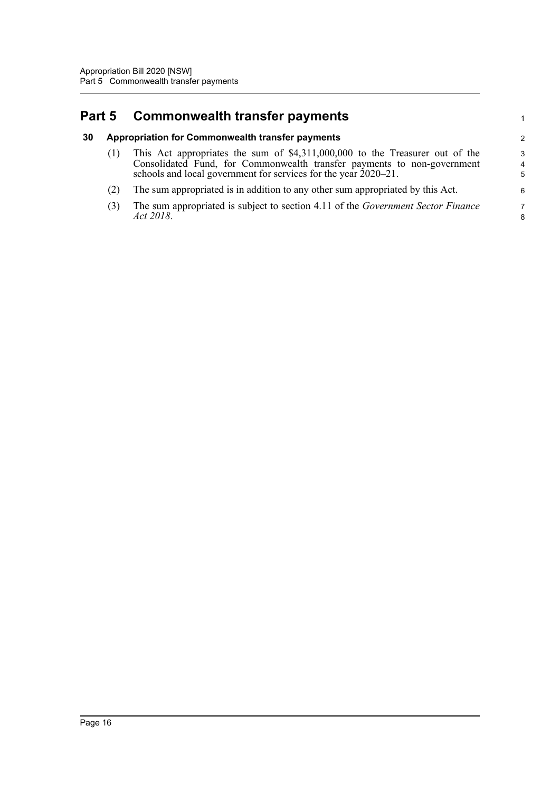## <span id="page-18-0"></span>**Part 5 Commonwealth transfer payments**

#### <span id="page-18-1"></span>**30 Appropriation for Commonwealth transfer payments**

(1) This Act appropriates the sum of \$4,311,000,000 to the Treasurer out of the Consolidated Fund, for Commonwealth transfer payments to non-government schools and local government for services for the year 2020–21.

1

- (2) The sum appropriated is in addition to any other sum appropriated by this Act.
- (3) The sum appropriated is subject to section 4.11 of the *Government Sector Finance Act 2018*.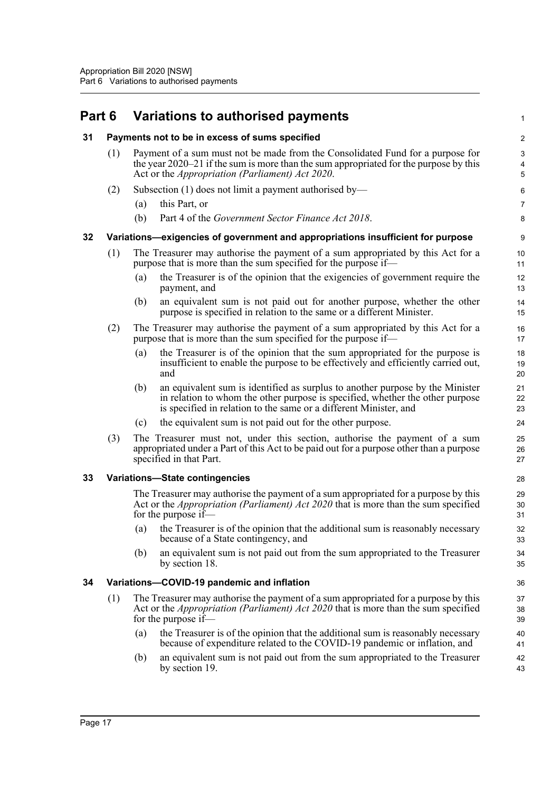<span id="page-19-0"></span>

|  | Part 6 Variations to authorised payments |  |
|--|------------------------------------------|--|
|  |                                          |  |

<span id="page-19-4"></span><span id="page-19-3"></span><span id="page-19-2"></span><span id="page-19-1"></span>

| 31 |     |     | Payments not to be in excess of sums specified                                                                                                                                                                                      | $\boldsymbol{2}$                                     |
|----|-----|-----|-------------------------------------------------------------------------------------------------------------------------------------------------------------------------------------------------------------------------------------|------------------------------------------------------|
|    | (1) |     | Payment of a sum must not be made from the Consolidated Fund for a purpose for<br>the year $2020-21$ if the sum is more than the sum appropriated for the purpose by this                                                           | $\ensuremath{\mathsf{3}}$<br>$\overline{\mathbf{4}}$ |
|    |     |     | Act or the <i>Appropriation (Parliament) Act 2020</i> .                                                                                                                                                                             | 5                                                    |
|    | (2) |     | Subsection (1) does not limit a payment authorised by—                                                                                                                                                                              | 6                                                    |
|    |     | (a) | this Part, or                                                                                                                                                                                                                       | $\overline{7}$                                       |
|    |     | (b) | Part 4 of the Government Sector Finance Act 2018.                                                                                                                                                                                   | 8                                                    |
| 32 |     |     | Variations—exigencies of government and appropriations insufficient for purpose                                                                                                                                                     | 9                                                    |
|    | (1) |     | The Treasurer may authorise the payment of a sum appropriated by this Act for a<br>purpose that is more than the sum specified for the purpose if—                                                                                  | 10<br>11                                             |
|    |     | (a) | the Treasurer is of the opinion that the exigencies of government require the<br>payment, and                                                                                                                                       | 12<br>13                                             |
|    |     | (b) | an equivalent sum is not paid out for another purpose, whether the other<br>purpose is specified in relation to the same or a different Minister.                                                                                   | 14<br>15                                             |
|    | (2) |     | The Treasurer may authorise the payment of a sum appropriated by this Act for a<br>purpose that is more than the sum specified for the purpose if—                                                                                  | 16<br>17                                             |
|    |     | (a) | the Treasurer is of the opinion that the sum appropriated for the purpose is<br>insufficient to enable the purpose to be effectively and efficiently carried out,<br>and                                                            | 18<br>19<br>20                                       |
|    |     | (b) | an equivalent sum is identified as surplus to another purpose by the Minister<br>in relation to whom the other purpose is specified, whether the other purpose<br>is specified in relation to the same or a different Minister, and | 21<br>22<br>23                                       |
|    |     | (c) | the equivalent sum is not paid out for the other purpose.                                                                                                                                                                           | 24                                                   |
|    | (3) |     | The Treasurer must not, under this section, authorise the payment of a sum<br>appropriated under a Part of this Act to be paid out for a purpose other than a purpose<br>specified in that Part.                                    | 25<br>26<br>27                                       |
| 33 |     |     | <b>Variations-State contingencies</b>                                                                                                                                                                                               | 28                                                   |
|    |     |     | The Treasurer may authorise the payment of a sum appropriated for a purpose by this<br>Act or the <i>Appropriation (Parliament) Act 2020</i> that is more than the sum specified<br>for the purpose if—                             | 29<br>30<br>31                                       |
|    |     | (a) | the Treasurer is of the opinion that the additional sum is reasonably necessary<br>because of a State contingency, and                                                                                                              | 32<br>33                                             |
|    |     | (b) | an equivalent sum is not paid out from the sum appropriated to the Treasurer<br>by section 18.                                                                                                                                      | 34<br>35                                             |
| 34 |     |     | Variations-COVID-19 pandemic and inflation                                                                                                                                                                                          | 36                                                   |
|    | (1) |     | The Treasurer may authorise the payment of a sum appropriated for a purpose by this<br>Act or the <i>Appropriation (Parliament) Act 2020</i> that is more than the sum specified<br>for the purpose if—                             | 37<br>38<br>39                                       |
|    |     | (a) | the Treasurer is of the opinion that the additional sum is reasonably necessary<br>because of expenditure related to the COVID-19 pandemic or inflation, and                                                                        | 40<br>41                                             |
|    |     | (b) | an equivalent sum is not paid out from the sum appropriated to the Treasurer<br>by section 19.                                                                                                                                      | 42<br>43                                             |
|    |     |     |                                                                                                                                                                                                                                     |                                                      |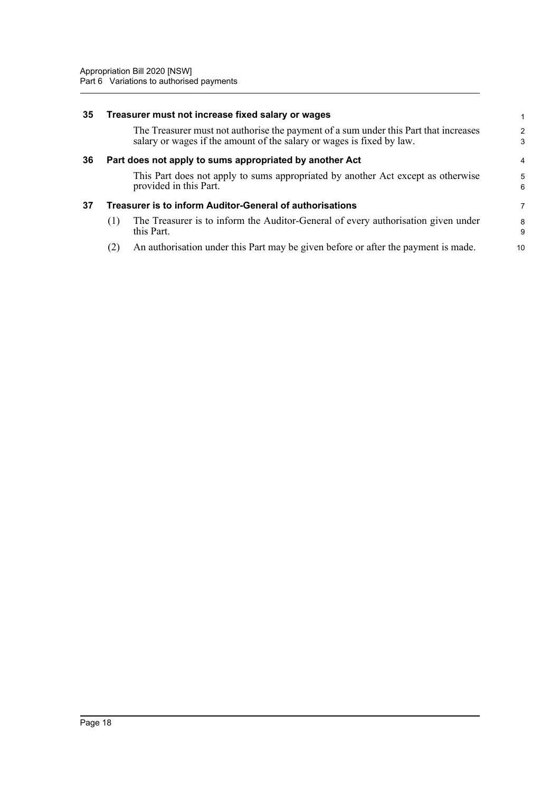<span id="page-20-2"></span><span id="page-20-1"></span><span id="page-20-0"></span>

| 35 |     | Treasurer must not increase fixed salary or wages                                                                                                             |        |
|----|-----|---------------------------------------------------------------------------------------------------------------------------------------------------------------|--------|
|    |     | The Treasurer must not authorise the payment of a sum under this Part that increases<br>salary or wages if the amount of the salary or wages is fixed by law. | 2<br>3 |
| 36 |     | Part does not apply to sums appropriated by another Act                                                                                                       | 4      |
|    |     | This Part does not apply to sums appropriated by another Act except as otherwise<br>provided in this Part.                                                    | 5<br>6 |
| 37 |     | <b>Treasurer is to inform Auditor-General of authorisations</b>                                                                                               | 7      |
|    | (1) | The Treasurer is to inform the Auditor-General of every authorisation given under<br>this Part.                                                               | 8<br>9 |
|    | (2) | An authorisation under this Part may be given before or after the payment is made.                                                                            | 10     |
|    |     |                                                                                                                                                               |        |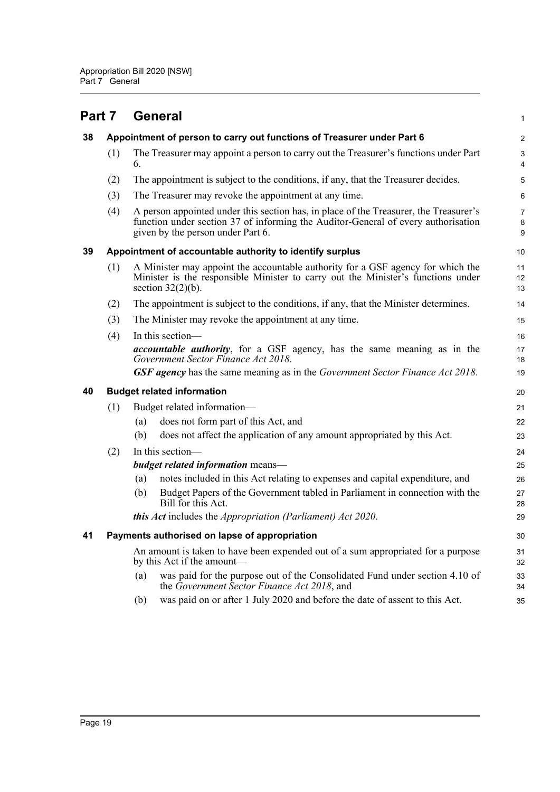<span id="page-21-4"></span><span id="page-21-3"></span><span id="page-21-2"></span><span id="page-21-1"></span><span id="page-21-0"></span>

| Part 7 |     | <b>General</b>                                                                                                                                                                                                  | 1                            |
|--------|-----|-----------------------------------------------------------------------------------------------------------------------------------------------------------------------------------------------------------------|------------------------------|
| 38     |     | Appointment of person to carry out functions of Treasurer under Part 6                                                                                                                                          | $\overline{c}$               |
|        | (1) | The Treasurer may appoint a person to carry out the Treasurer's functions under Part<br>6.                                                                                                                      | 3<br>$\overline{\mathbf{4}}$ |
|        | (2) | The appointment is subject to the conditions, if any, that the Treasurer decides.                                                                                                                               | 5                            |
|        | (3) | The Treasurer may revoke the appointment at any time.                                                                                                                                                           | 6                            |
|        | (4) | A person appointed under this section has, in place of the Treasurer, the Treasurer's<br>function under section 37 of informing the Auditor-General of every authorisation<br>given by the person under Part 6. | $\overline{7}$<br>8<br>9     |
| 39     |     | Appointment of accountable authority to identify surplus                                                                                                                                                        | 10                           |
|        | (1) | A Minister may appoint the accountable authority for a GSF agency for which the<br>Minister is the responsible Minister to carry out the Minister's functions under<br>section $32(2)(b)$ .                     | 11<br>12<br>13               |
|        | (2) | The appointment is subject to the conditions, if any, that the Minister determines.                                                                                                                             | 14                           |
|        | (3) | The Minister may revoke the appointment at any time.                                                                                                                                                            | 15                           |
|        | (4) | In this section-                                                                                                                                                                                                | 16                           |
|        |     | <i>accountable authority</i> , for a GSF agency, has the same meaning as in the<br>Government Sector Finance Act 2018.                                                                                          | 17<br>18                     |
|        |     | GSF agency has the same meaning as in the Government Sector Finance Act 2018.                                                                                                                                   | 19                           |
| 40     |     | <b>Budget related information</b>                                                                                                                                                                               | 20                           |
|        | (1) | Budget related information-                                                                                                                                                                                     | 21                           |
|        |     | does not form part of this Act, and<br>(a)                                                                                                                                                                      | 22                           |
|        |     | does not affect the application of any amount appropriated by this Act.<br>(b)                                                                                                                                  | 23                           |
|        | (2) | In this section-                                                                                                                                                                                                | 24                           |
|        |     | <b>budget related information</b> means-                                                                                                                                                                        | 25                           |
|        |     | notes included in this Act relating to expenses and capital expenditure, and<br>(a)                                                                                                                             | 26                           |
|        |     | Budget Papers of the Government tabled in Parliament in connection with the<br>(b)<br>Bill for this Act.                                                                                                        | 27<br>28                     |
|        |     | <b>this Act</b> includes the <i>Appropriation (Parliament) Act 2020</i> .                                                                                                                                       | 29                           |
| 41     |     | Payments authorised on lapse of appropriation                                                                                                                                                                   | 30                           |
|        |     | An amount is taken to have been expended out of a sum appropriated for a purpose<br>by this Act if the amount—                                                                                                  | 31<br>32                     |
|        |     | was paid for the purpose out of the Consolidated Fund under section 4.10 of<br>(a)<br>the Government Sector Finance Act 2018, and                                                                               | 33<br>34                     |
|        |     | was paid on or after 1 July 2020 and before the date of assent to this Act.<br>(b)                                                                                                                              | 35                           |
|        |     |                                                                                                                                                                                                                 |                              |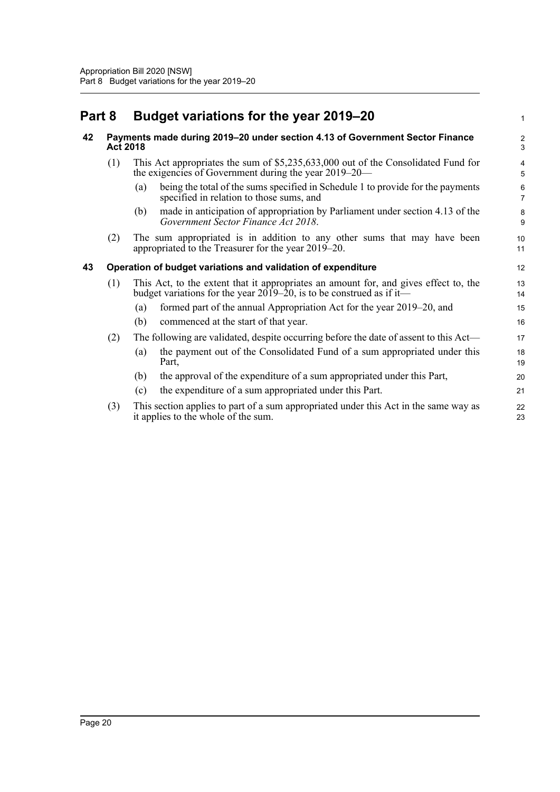## <span id="page-22-1"></span><span id="page-22-0"></span>**Part 8 Budget variations for the year 2019–20**

<span id="page-22-2"></span>

| 42 | <b>Act 2018</b> | Payments made during 2019-20 under section 4.13 of Government Sector Finance                                                                                                 | $\overline{c}$<br>3 |
|----|-----------------|------------------------------------------------------------------------------------------------------------------------------------------------------------------------------|---------------------|
|    | (1)             | This Act appropriates the sum of \$5,235,633,000 out of the Consolidated Fund for<br>the exigencies of Government during the year $2019-20$ —                                | 5                   |
|    |                 | being the total of the sums specified in Schedule 1 to provide for the payments<br>(a)<br>specified in relation to those sums, and                                           | 6<br>7              |
|    |                 | made in anticipation of appropriation by Parliament under section 4.13 of the<br>(b)<br>Government Sector Finance Act 2018.                                                  | 8<br>9              |
|    | (2)             | The sum appropriated is in addition to any other sums that may have been<br>appropriated to the Treasurer for the year 2019–20.                                              | 10<br>11            |
| 43 |                 | Operation of budget variations and validation of expenditure                                                                                                                 | 12                  |
|    | (1)             | This Act, to the extent that it appropriates an amount for, and gives effect to, the<br>budget variations for the year $20\overline{19} - 20$ , is to be construed as if it— | 13<br>14            |
|    |                 | formed part of the annual Appropriation Act for the year 2019–20, and<br>(a)                                                                                                 | 15                  |
|    |                 | (b)<br>commenced at the start of that year.                                                                                                                                  | 16                  |
|    | (2)             | The following are validated, despite occurring before the date of assent to this Act—                                                                                        | 17                  |
|    |                 | the payment out of the Consolidated Fund of a sum appropriated under this<br>(a)<br>Part,                                                                                    | 18<br>19            |
|    |                 | the approval of the expenditure of a sum appropriated under this Part,<br>(b)                                                                                                | 20                  |
|    |                 | the expenditure of a sum appropriated under this Part.<br>(c)                                                                                                                | 21                  |
|    | (3)             | This section applies to part of a sum appropriated under this Act in the same way as<br>it applies to the whole of the sum.                                                  | 22<br>23            |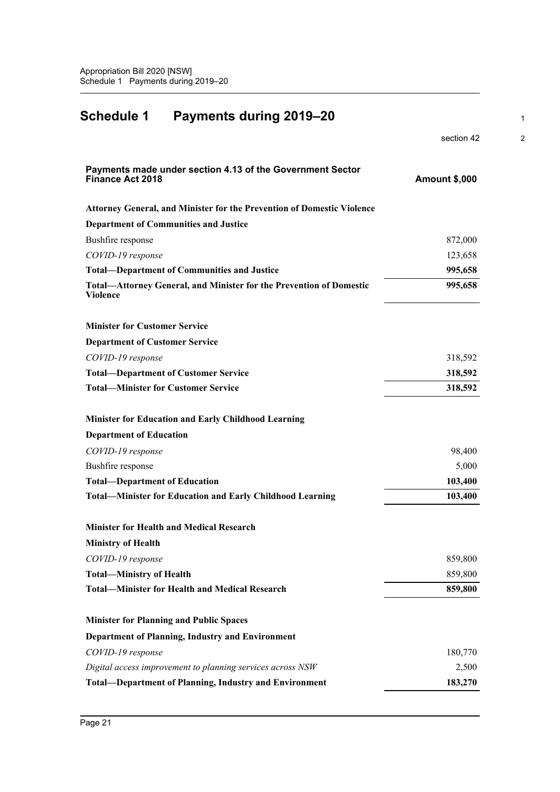<span id="page-23-0"></span>

| <b>Schedule 1</b><br>Payments during 2019-20                                                  |                      |
|-----------------------------------------------------------------------------------------------|----------------------|
|                                                                                               | section 42           |
| Payments made under section 4.13 of the Government Sector<br>Finance Act 2018                 | <b>Amount \$,000</b> |
| Attorney General, and Minister for the Prevention of Domestic Violence                        |                      |
| <b>Department of Communities and Justice</b>                                                  |                      |
| Bushfire response                                                                             | 872,000              |
| COVID-19 response                                                                             | 123,658              |
| <b>Total-Department of Communities and Justice</b>                                            | 995,658              |
| <b>Total-Attorney General, and Minister for the Prevention of Domestic</b><br><b>Violence</b> | 995,658              |
| <b>Minister for Customer Service</b>                                                          |                      |
| <b>Department of Customer Service</b>                                                         |                      |
| COVID-19 response                                                                             | 318,592              |
| <b>Total-Department of Customer Service</b>                                                   | 318,592              |
| <b>Total-Minister for Customer Service</b>                                                    | 318,592              |
| <b>Minister for Education and Early Childhood Learning</b>                                    |                      |
| <b>Department of Education</b>                                                                |                      |
| COVID-19 response                                                                             | 98,400               |
| Bushfire response                                                                             | 5,000                |
| <b>Total-Department of Education</b>                                                          | 103,400              |
| <b>Total-Minister for Education and Early Childhood Learning</b>                              | 103,400              |
| <b>Minister for Health and Medical Research</b>                                               |                      |
| <b>Ministry of Health</b>                                                                     |                      |
| COVID-19 response                                                                             | 859,800              |
| <b>Total-Ministry of Health</b>                                                               | 859,800              |
| <b>Total-Minister for Health and Medical Research</b>                                         | 859,800              |
| <b>Minister for Planning and Public Spaces</b>                                                |                      |
| <b>Department of Planning, Industry and Environment</b>                                       |                      |
| COVID-19 response                                                                             | 180,770              |
| Digital access improvement to planning services across NSW                                    | 2,500                |
| <b>Total-Department of Planning, Industry and Environment</b>                                 | 183,270              |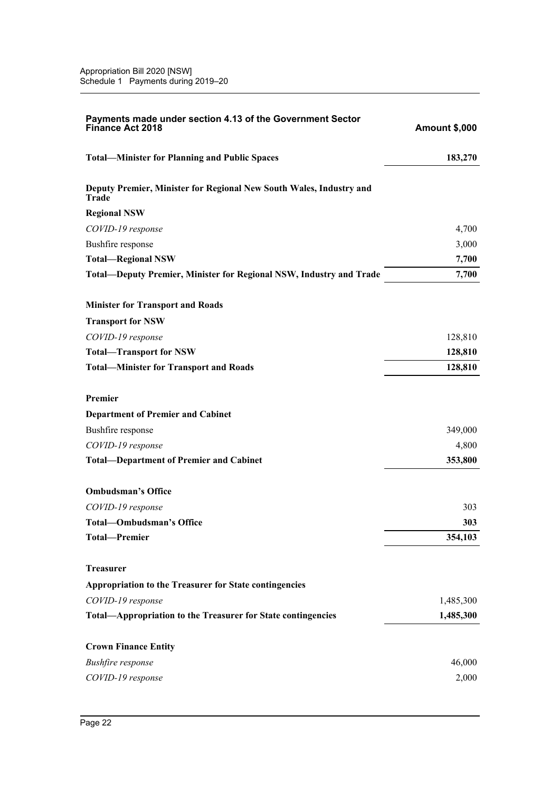| <b>Total-Minister for Planning and Public Spaces</b><br>183,270<br>Deputy Premier, Minister for Regional New South Wales, Industry and<br>Trade<br><b>Regional NSW</b><br>4,700<br>COVID-19 response<br>Bushfire response<br>3,000<br><b>Total-Regional NSW</b><br>7,700<br>7,700<br><b>Total—Deputy Premier, Minister for Regional NSW, Industry and Trade</b><br><b>Minister for Transport and Roads</b><br><b>Transport for NSW</b><br>128,810<br>COVID-19 response<br><b>Total-Transport for NSW</b><br>128,810<br><b>Total-Minister for Transport and Roads</b><br>128,810<br>Premier<br><b>Department of Premier and Cabinet</b><br>Bushfire response<br>349,000<br>4,800<br>COVID-19 response<br><b>Total-Department of Premier and Cabinet</b><br>353,800<br><b>Ombudsman's Office</b><br>303<br>COVID-19 response<br><b>Total-Ombudsman's Office</b><br>303<br><b>Total-Premier</b><br>354,103<br><b>Treasurer</b><br>Appropriation to the Treasurer for State contingencies<br>COVID-19 response<br>1,485,300<br>Total-Appropriation to the Treasurer for State contingencies<br>1,485,300<br><b>Crown Finance Entity</b><br>46,000<br><b>Bushfire</b> response<br>COVID-19 response<br>2,000 | Payments made under section 4.13 of the Government Sector<br><b>Finance Act 2018</b> | <b>Amount \$,000</b> |
|---------------------------------------------------------------------------------------------------------------------------------------------------------------------------------------------------------------------------------------------------------------------------------------------------------------------------------------------------------------------------------------------------------------------------------------------------------------------------------------------------------------------------------------------------------------------------------------------------------------------------------------------------------------------------------------------------------------------------------------------------------------------------------------------------------------------------------------------------------------------------------------------------------------------------------------------------------------------------------------------------------------------------------------------------------------------------------------------------------------------------------------------------------------------------------------------------------|--------------------------------------------------------------------------------------|----------------------|
|                                                                                                                                                                                                                                                                                                                                                                                                                                                                                                                                                                                                                                                                                                                                                                                                                                                                                                                                                                                                                                                                                                                                                                                                         |                                                                                      |                      |
|                                                                                                                                                                                                                                                                                                                                                                                                                                                                                                                                                                                                                                                                                                                                                                                                                                                                                                                                                                                                                                                                                                                                                                                                         |                                                                                      |                      |
|                                                                                                                                                                                                                                                                                                                                                                                                                                                                                                                                                                                                                                                                                                                                                                                                                                                                                                                                                                                                                                                                                                                                                                                                         |                                                                                      |                      |
|                                                                                                                                                                                                                                                                                                                                                                                                                                                                                                                                                                                                                                                                                                                                                                                                                                                                                                                                                                                                                                                                                                                                                                                                         |                                                                                      |                      |
|                                                                                                                                                                                                                                                                                                                                                                                                                                                                                                                                                                                                                                                                                                                                                                                                                                                                                                                                                                                                                                                                                                                                                                                                         |                                                                                      |                      |
|                                                                                                                                                                                                                                                                                                                                                                                                                                                                                                                                                                                                                                                                                                                                                                                                                                                                                                                                                                                                                                                                                                                                                                                                         |                                                                                      |                      |
|                                                                                                                                                                                                                                                                                                                                                                                                                                                                                                                                                                                                                                                                                                                                                                                                                                                                                                                                                                                                                                                                                                                                                                                                         |                                                                                      |                      |
|                                                                                                                                                                                                                                                                                                                                                                                                                                                                                                                                                                                                                                                                                                                                                                                                                                                                                                                                                                                                                                                                                                                                                                                                         |                                                                                      |                      |
|                                                                                                                                                                                                                                                                                                                                                                                                                                                                                                                                                                                                                                                                                                                                                                                                                                                                                                                                                                                                                                                                                                                                                                                                         |                                                                                      |                      |
|                                                                                                                                                                                                                                                                                                                                                                                                                                                                                                                                                                                                                                                                                                                                                                                                                                                                                                                                                                                                                                                                                                                                                                                                         |                                                                                      |                      |
|                                                                                                                                                                                                                                                                                                                                                                                                                                                                                                                                                                                                                                                                                                                                                                                                                                                                                                                                                                                                                                                                                                                                                                                                         |                                                                                      |                      |
|                                                                                                                                                                                                                                                                                                                                                                                                                                                                                                                                                                                                                                                                                                                                                                                                                                                                                                                                                                                                                                                                                                                                                                                                         |                                                                                      |                      |
|                                                                                                                                                                                                                                                                                                                                                                                                                                                                                                                                                                                                                                                                                                                                                                                                                                                                                                                                                                                                                                                                                                                                                                                                         |                                                                                      |                      |
|                                                                                                                                                                                                                                                                                                                                                                                                                                                                                                                                                                                                                                                                                                                                                                                                                                                                                                                                                                                                                                                                                                                                                                                                         |                                                                                      |                      |
|                                                                                                                                                                                                                                                                                                                                                                                                                                                                                                                                                                                                                                                                                                                                                                                                                                                                                                                                                                                                                                                                                                                                                                                                         |                                                                                      |                      |
|                                                                                                                                                                                                                                                                                                                                                                                                                                                                                                                                                                                                                                                                                                                                                                                                                                                                                                                                                                                                                                                                                                                                                                                                         |                                                                                      |                      |
|                                                                                                                                                                                                                                                                                                                                                                                                                                                                                                                                                                                                                                                                                                                                                                                                                                                                                                                                                                                                                                                                                                                                                                                                         |                                                                                      |                      |
|                                                                                                                                                                                                                                                                                                                                                                                                                                                                                                                                                                                                                                                                                                                                                                                                                                                                                                                                                                                                                                                                                                                                                                                                         |                                                                                      |                      |
|                                                                                                                                                                                                                                                                                                                                                                                                                                                                                                                                                                                                                                                                                                                                                                                                                                                                                                                                                                                                                                                                                                                                                                                                         |                                                                                      |                      |
|                                                                                                                                                                                                                                                                                                                                                                                                                                                                                                                                                                                                                                                                                                                                                                                                                                                                                                                                                                                                                                                                                                                                                                                                         |                                                                                      |                      |
|                                                                                                                                                                                                                                                                                                                                                                                                                                                                                                                                                                                                                                                                                                                                                                                                                                                                                                                                                                                                                                                                                                                                                                                                         |                                                                                      |                      |
|                                                                                                                                                                                                                                                                                                                                                                                                                                                                                                                                                                                                                                                                                                                                                                                                                                                                                                                                                                                                                                                                                                                                                                                                         |                                                                                      |                      |
|                                                                                                                                                                                                                                                                                                                                                                                                                                                                                                                                                                                                                                                                                                                                                                                                                                                                                                                                                                                                                                                                                                                                                                                                         |                                                                                      |                      |
|                                                                                                                                                                                                                                                                                                                                                                                                                                                                                                                                                                                                                                                                                                                                                                                                                                                                                                                                                                                                                                                                                                                                                                                                         |                                                                                      |                      |
|                                                                                                                                                                                                                                                                                                                                                                                                                                                                                                                                                                                                                                                                                                                                                                                                                                                                                                                                                                                                                                                                                                                                                                                                         |                                                                                      |                      |
|                                                                                                                                                                                                                                                                                                                                                                                                                                                                                                                                                                                                                                                                                                                                                                                                                                                                                                                                                                                                                                                                                                                                                                                                         |                                                                                      |                      |
|                                                                                                                                                                                                                                                                                                                                                                                                                                                                                                                                                                                                                                                                                                                                                                                                                                                                                                                                                                                                                                                                                                                                                                                                         |                                                                                      |                      |
|                                                                                                                                                                                                                                                                                                                                                                                                                                                                                                                                                                                                                                                                                                                                                                                                                                                                                                                                                                                                                                                                                                                                                                                                         |                                                                                      |                      |